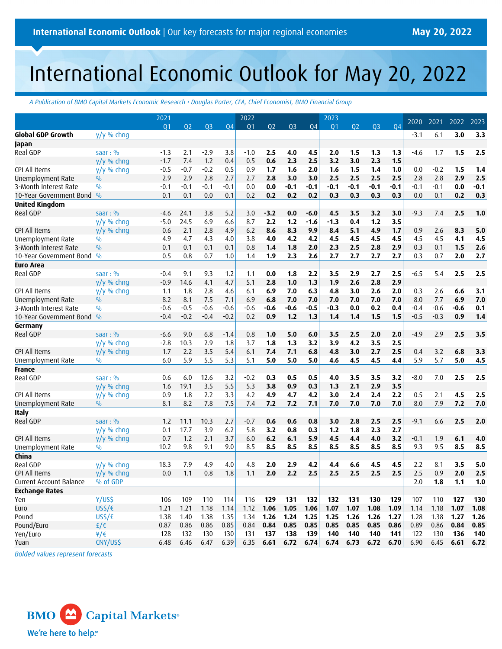# International Economic Outlook for May 20, 2022

*A Publication of BMO Capital Markets Economic Research • Douglas Porter, CFA, Chief Economist, BMO Financial Group*

|                         |                    | 2021           |        |                |        | 2022           |                |                |                | 2023           |                |                |        | 2020   | 2021   | 2022   | 2023   |
|-------------------------|--------------------|----------------|--------|----------------|--------|----------------|----------------|----------------|----------------|----------------|----------------|----------------|--------|--------|--------|--------|--------|
|                         |                    | Q <sub>1</sub> | 02     | Q <sub>3</sub> | 04     | Q <sub>1</sub> | Q <sub>2</sub> | Q <sub>3</sub> | Q <sub>4</sub> | Q <sub>1</sub> | Q <sub>2</sub> | Q <sub>3</sub> | 04     |        |        |        |        |
| Global GDP Growth       | $y/y$ % chng       |                |        |                |        |                |                |                |                |                |                |                |        | $-3.1$ | 6.1    | 3.0    | 3.3    |
| Japan                   |                    |                |        |                |        |                |                |                |                |                |                |                |        |        |        |        |        |
| Real GDP                | saar: $%$          | $-1.3$         | 2.1    | $-2.9$         | 3.8    | $-1.0$         | 2.5            | 4.0            | 4.5            | 2.0            | 1.5            | 1.3            | 1.3    | $-4.6$ | 1.7    | 1.5    | 2.5    |
|                         | y/y % chng         | $-1.7$         | 7.4    | 1.2            | 0.4    | 0.5            | 0.6            | 2.3            | 2.5            | 3.2            | 3.0            | 2.3            | 1.5    |        |        |        |        |
| CPI All Items           | $y/y$ % chng       | $-0.5$         | $-0.7$ | $-0.2$         | 0.5    | 0.9            | 1.7            | 1.6            | 2.0            | 1.6            | 1.5            | 1.4            | 1.0    | 0.0    | $-0.2$ | 1.5    | 1.4    |
| Unemployment Rate       | $\frac{0}{0}$      | 2.9            | 2.9    | 2.8            | 2.7    | 2.7            | 2.8            | 3.0            | 3.0            | 2.5            | 2.5            | 2.5            | 2.5    | 2.8    | 2.8    | 2.9    | 2.5    |
| 3-Month Interest Rate   | $\frac{0}{0}$      | $-0.1$         | $-0.1$ | $-0.1$         | $-0.1$ | 0.0            | 0.0            | $-0.1$         | $-0.1$         | $-0.1$         | $-0.1$         | $-0.1$         | $-0.1$ | $-0.1$ | $-0.1$ | 0.0    | $-0.1$ |
| 10-Year Government Bond | $\frac{0}{0}$      | 0.1            | 0.1    | 0.0            | 0.1    | 0.2            | 0.2            | 0.2            | 0.2            | 0.3            | 0.3            | 0.3            | 0.3    | 0.0    | 0.1    | 0.2    | 0.3    |
| <b>United Kingdom</b>   |                    |                |        |                |        |                |                |                |                |                |                |                |        |        |        |        |        |
| Real GDP                | saar: $%$          | -4.6           | 24.1   | 3.8            | 5.2    | 3.0            | $-3.2$         | 0.0            | $-6.0$         | 4.5            | 3.5            | 3.2            | 3.0    | $-9.3$ | 7.4    | 2.5    | 1.0    |
|                         | $y/y$ % chng       | $-5.0$         | 24.5   | 6.9            | 6.6    | 8.7            | 2.2            | 1.2            | $-1.6$         | $-1.3$         | 0.4            | 1.2            | 3.5    |        |        |        |        |
| CPI All Items           | $y/y$ % chng       | 0.6            | 2.1    | 2.8            | 4.9    | 6.2            | 8.6            | 8.3            | 9.9            | 8.4            | 5.1            | 4.9            | 1.7    | 0.9    | 2.6    | 8.3    | 5.0    |
| Unemployment Rate       | $\frac{0}{0}$      | 4.9            | 4.7    | 4.3            | 4.0    | 3.8            | 4.0            | 4.2            | 4.2            | 4.5            | 4.5            | 4.5            | 4.5    | 4.5    | 4.5    | 4.1    | 4.5    |
| 3-Month Interest Rate   | $\frac{0}{0}$      | 0.1            | 0.1    | 0.1            | 0.1    | 0.8            | 1.4            | 1.8            | 2.0            | 2.3            | 2.5            | 2.8            | 2.9    | 0.3    | 0.1    | 1.5    | 2.6    |
| 10-Year Government Bond | $\frac{0}{0}$      | 0.5            | 0.8    | 0.7            | 1.0    | 1.4            | 1.9            | 2.3            | 2.6            | 2.7            | 2.7            | 2.7            | 2.7    | 0.3    | 0.7    | 2.0    | 2.7    |
| <b>Euro Area</b>        |                    |                |        |                |        |                |                |                |                |                |                |                |        |        |        |        |        |
| Real GDP                | saar: $%$          | $-0.4$         | 9.1    | 9.3            | 1.2    | 1.1            | 0.0            | 1.8            | 2.2            | 3.5            | 2.9            | 2.7            | 2.5    | $-6.5$ | 5.4    | 2.5    | 2.5    |
|                         | y/y % chng         | $-0.9$         | 14.6   | 4.1            | 4.7    | 5.1            | 2.8            | 1.0            | 1.3            | 1.9            | 2.6            | 2.8            | 2.9    |        |        |        |        |
| CPI All Items           | y/y % chnq         | 1.1            | 1.8    | 2.8            | 4.6    | 6.1            | 6.9            | 7.0            | 6.3            | 4.8            | 3.0            | 2.6            | 2.0    | 0.3    | 2.6    | 6.6    | 3.1    |
| Unemployment Rate       | $\frac{0}{0}$      | 8.2            | 8.1    | 7.5            | 7.1    | 6.9            | 6.8            | 7.0            | 7.0            | 7.0            | 7.0            | 7.0            | 7.0    | 8.0    | 7.7    | 6.9    | 7.0    |
| 3-Month Interest Rate   | $\frac{0}{0}$      | $-0.6$         | $-0.5$ | $-0.6$         | $-0.6$ | -0.6           | $-0.6$         | $-0.6$         | -0.5           | -0.3           | 0.0            | 0.2            | 0.4    | $-0.4$ | $-0.6$ | $-0.6$ | 0.1    |
| 10-Year Government Bond | $\frac{0}{0}$      | $-0.4$         | $-0.2$ | $-0.4$         | $-0.2$ | 0.2            | 0.9            | 1.2            | 1.3            | 1.4            | 1.4            | 1.5            | 1.5    | $-0.5$ | $-0.3$ | 0.9    | 1.4    |
| Germany                 |                    |                |        |                |        |                |                |                |                |                |                |                |        |        |        |        |        |
| Real GDP                | saar: $%$          | $-6.6$         | 9.0    | 6.8            | $-1.4$ | 0.8            | 1.0            | 5.0            | 6.0            | 3.5            | 2.5            | 2.0            | 2.0    | $-4.9$ | 2.9    | 2.5    | 3.5    |
|                         | $y/y$ % chng       | $-2.8$         | 10.3   | 2.9            | 1.8    | 3.7            | 1.8            | 1.3            | 3.2            | 3.9            | 4.2            | 3.5            | 2.5    |        |        |        |        |
| CPI All Items           | $y/y$ % chng       | 1.7            | 2.2    | 3.5            | 5.4    | 6.1            | 7.4            | 7.1            | 6.8            | 4.8            | 3.0            | 2.7            | 2.5    | 0.4    | 3.2    | 6.8    | 3.3    |
| Unemployment Rate       | $\frac{0}{0}$      | 6.0            | 5.9    | 5.5            | 5.3    | 5.1            | 5.0            | 5.0            | 5.0            | 4.6            | 4.5            | 4.5            | 4.4    | 5.9    | 5.7    | 5.0    | 4.5    |
| France                  |                    |                |        |                |        |                |                |                |                |                |                |                |        |        |        |        |        |
| Real GDP                | saar: $%$          | 0.6            | 6.0    | 12.6           | 3.2    | $-0.2$         | 0.3            | 0.5            | 0.5            | 4.0            | 3.5            | 3.5            | 3.2    | $-8.0$ | 7.0    | 2.5    | 2.5    |
|                         | $y/y$ % chng       | 1.6            | 19.1   | 3.5            | 5.5    | 5.3            | 3.8            | 0.9            | 0.3            | 1.3            | 2.1            | 2.9            | 3.5    |        |        |        |        |
| CPI All Items           | $y/y$ % chng       | 0.9            | 1.8    | 2.2            | 3.3    | 4.2            | 4.9            | 4.7            | 4.2            | 3.0            | 2.4            | 2.4            | 2.2    | 0.5    | 2.1    | 4.5    | 2.5    |
| Unemployment Rate       | $\%$               | 8.1            | 8.2    | 7.8            | 7.5    | 7.4            | 7.2            | 7.2            | 7.1            | 7.0            | 7.0            | 7.0            | 7.0    | 8.0    | 7.9    | 7.2    | 7.0    |
| <b>Italy</b>            |                    |                |        |                |        |                |                |                |                |                |                |                |        |        |        |        |        |
| Real GDP                | saar: $%$          | 1.2            | 11.1   | 10.3           | 2.7    | -0.7           | 0.6            | 0.6            | 0.8            | 3.0            | 2.8            | 2.5            | 2.5    | $-9.1$ | 6.6    | 2.5    | 2.0    |
|                         | $y/y$ % chng       | 0.1            | 17.7   | 3.9            | 6.2    | 5.8            | 3.2            | 0.8            | 0.3            | 1.2            | 1.8            | 2.3            | 2.7    |        |        |        |        |
| CPI All Items           | $y/y$ % chng       | 0.7            | 1.2    | 2.1            | 3.7    | 6.0            | 6.2            | 6.1            | 5.9            | 4.5            | 4.4            | 4.0            | 3.2    | $-0.1$ | 1.9    | 6.1    | 4.0    |
| Unemployment Rate       | $\frac{0}{0}$      | 10.2           | 9.8    | 9.1            | 9.0    | 8.5            | 8.5            | 8.5            | 8.5            | 8.5            | 8.5            | 8.5            | 8.5    | 9.3    | 9.5    | 8.5    | 8.5    |
| China                   |                    |                |        |                |        |                |                |                |                |                |                |                |        |        |        |        |        |
| Real GDP                | $y/y$ % chng       | 18.3           | 7.9    | 4.9            | 4.0    | 4.8            | 2.0            | 2.9            | 4.2            | 4.4            | 6.6            | 4.5            | 4.5    | 2.2    | 8.1    | 3.5    | 5.0    |
| CPI All Items           | y/y % chnq         | 0.0            | 1.1    | 0.8            | 1.8    | 1.1            | 2.0            | 2.2            | 2.5            | 2.5            | 2.5            | 2.5            | 2.5    | 2.5    | 0.9    | 2.0    | 2.5    |
| Current Account Balance | % of GDP           |                |        |                |        |                |                |                |                |                |                |                |        | 2.0    | 1.8    | 1,1    | $1.0$  |
| <b>Exchange Rates</b>   |                    |                |        |                |        |                |                |                |                |                |                |                |        |        |        |        |        |
| Yen                     | ¥/US\$             | 106            | 109    | 110            | 114    | 116            | 129            | 131            | 132            | 132            | 131            | 130            | 129    | 107    | 110    | 127    | 130    |
| Euro                    | $US\zeta/\epsilon$ | 1.21           | 1.21   | 1.18           | 1.14   | 1.12           | 1.06           | 1.05           | 1.06           | 1.07           | 1.07           | 1.08           | 1.09   | 1.14   | 1.18   | 1.07   | 1.08   |
| Pound                   | US <sub>5</sub> /E | 1.38           | 1.40   | 1.38           | 1.35   | 1.34           | 1.26           | 1.24           | 1.25           | 1.25           | 1.26           | 1.26           | 1.27   | 1.28   | 1.38   | 1.27   | 1.26   |
| Pound/Euro              | £/€                | 0.87           | 0.86   | 0.86           | 0.85   | 0.84           | 0.84           | 0.85           | 0.85           | 0.85           | 0.85           | 0.85           | 0.86   | 0.89   | 0.86   | 0.84   | 0.85   |
| Yen/Euro                | ¥/€                | 128            | 132    | 130            | 130    | 131            | 137            | 138            | 139            | 140            | 140            | 140            | 141    | 122    | 130    | 136    | 140    |
| Yuan                    | CNY/US\$           | 6.48           | 6.46   | 6.47           | 6.39   | 6.35           | 6.61           | 6.72           | 6.74           | 6.74           | 6.73           | 6.72           | 6.70   | 6.90   | 6.45   | 6.61   | 6.72   |
|                         |                    |                |        |                |        |                |                |                |                |                |                |                |        |        |        |        |        |

*Bolded values represent forecasts*